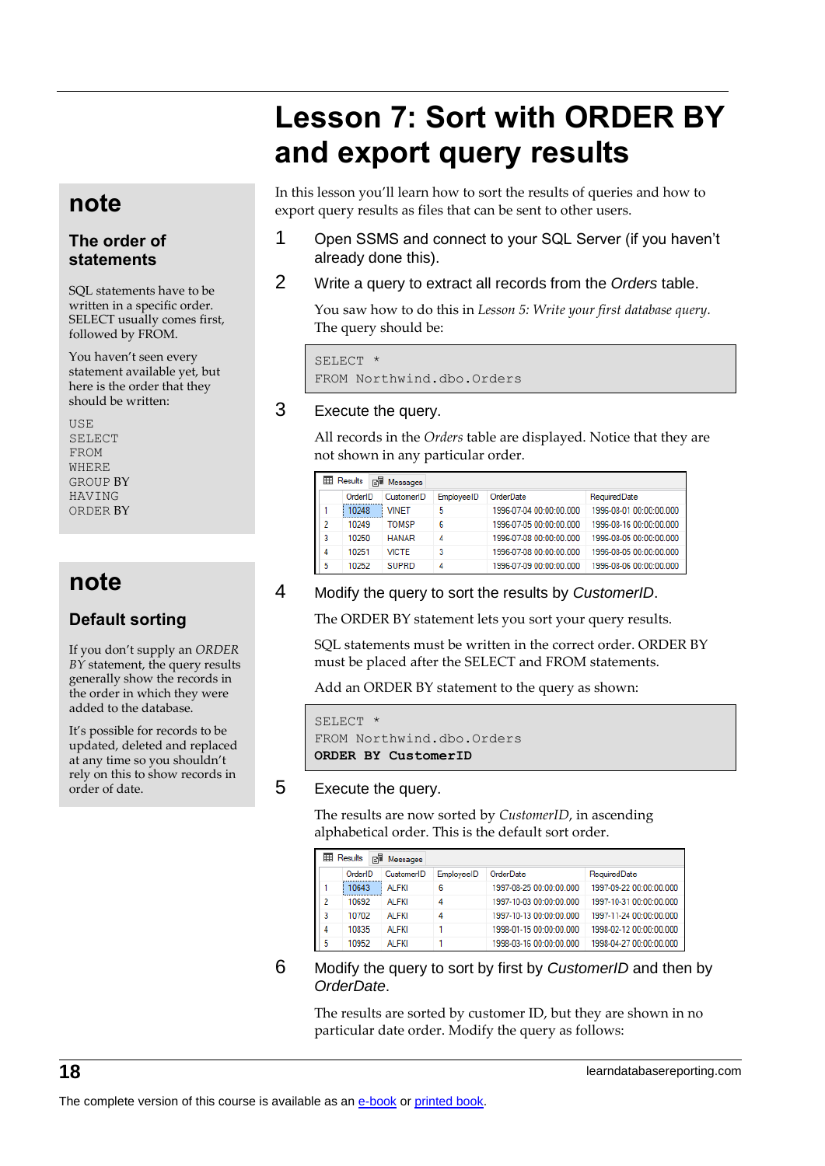# **Lesson 7: Sort with ORDER BY and export query results**

# **note**

### **The order of statements**

SQL statements have to be written in a specific order. SELECT usually comes first, followed by FROM.

You haven't seen every statement available yet, but here is the order that they should be written:

USE SELECT FROM WHERE GROUP BY HAVING ORDER BY

# **note**

## **Default sorting**

If you don't supply an *ORDER BY* statement, the query results generally show the records in the order in which they were added to the database.

It's possible for records to be updated, deleted and replaced at any time so you shouldn't rely on this to show records in order of date.

In this lesson you'll learn how to sort the results of queries and how to export query results as files that can be sent to other users.

- 1 Open SSMS and connect to your SQL Server (if you haven't already done this).
- 2 Write a query to extract all records from the *Orders* table.

You saw how to do this in *Lesson 5: Write your first database query.*  The query should be:

SELECT \* FROM Northwind.dbo.Orders

### 3 Execute the query.

All records in the *Orders* table are displayed. Notice that they are not shown in any particular order.

|   | 賱<br>Results<br>醖<br>Messages |              |            |                         |                         |  |  |  |
|---|-------------------------------|--------------|------------|-------------------------|-------------------------|--|--|--|
|   | OrderID                       | CustomerID   | EmployeeID | OrderDate               | RequiredDate            |  |  |  |
|   | 10248                         | VINFT        | 5          | 1996-07-04 00:00:00.000 | 1996-08-01 00:00:00.000 |  |  |  |
| 2 | 10249                         | <b>TOMSP</b> | 6          | 1996-07-05 00:00:00.000 | 1996-08-16 00:00:00.000 |  |  |  |
| 3 | 10250                         | <b>HANAR</b> | 4          | 1996-07-08 00:00:00.000 | 1996-08-05 00:00:00.000 |  |  |  |
| 4 | 10251                         | <b>VICTE</b> | 3          | 1996-07-08 00:00:00.000 | 1996-08-05 00:00:00.000 |  |  |  |
| 5 | 10252                         | <b>SUPRD</b> | 4          | 1996-07-09 00:00:00.000 | 1996-08-06 00:00:00.000 |  |  |  |

4 Modify the query to sort the results by *CustomerID*.

The ORDER BY statement lets you sort your query results.

SQL statements must be written in the correct order. ORDER BY must be placed after the SELECT and FROM statements.

Add an ORDER BY statement to the query as shown:

```
SELECT *
FROM Northwind.dbo.Orders
ORDER BY CustomerID
```
#### 5 Execute the query.

The results are now sorted by *CustomerID*, in ascending alphabetical order. This is the default sort order.

| ⊞  | Results | ei. | Messages     |            |                         |                         |
|----|---------|-----|--------------|------------|-------------------------|-------------------------|
|    | OrderID |     | CustomerID   | EmployeeID | OrderDate               | RequiredDate            |
|    | 10643   |     | <b>ALFKI</b> | 6          | 1997-08-25 00:00:00.000 | 1997-09-22 00:00:00.000 |
| 2  | 10692   |     | AI FKI       | 4          | 1997-10-03 00:00:00.000 | 1997-10-31 00:00:00.000 |
| 3  | 10702   |     | AI FKI       | 4          | 1997-10-13 00:00:00.000 | 1997-11-24 00:00:00.000 |
| 4  | 10835   |     | <b>ALFKI</b> |            | 1998-01-15 00:00:00.000 | 1998-02-12 00:00:00.000 |
| 5. | 10952   |     | AI FKI       |            | 1998-03-16 00:00:00.000 | 1998-04-27 00:00:00.000 |

#### 6 Modify the query to sort by first by *CustomerID* and then by *OrderDate*.

The results are sorted by customer ID, but they are shown in no particular date order. Modify the query as follows: